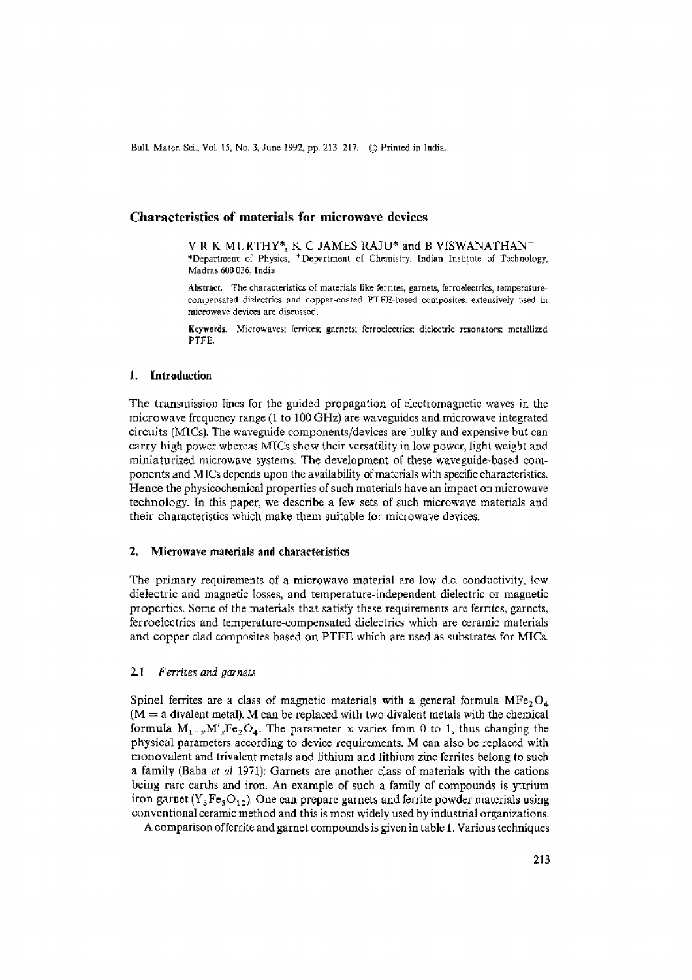Bull. Mater. Sci., Vol. 15, No. 3, June 1992, pp. 213-217. © Printed in India.

# **Characteristics of materials for microwave devices**

V R K MURTHY\*, K C JAMES RAJU\* and B VISWANATHAN + \*Department of Physics, <sup>+</sup>Department of Chemistry, Indian Institute of Technology, Madras 600 036, India

Abstract. The characteristics of materials like ferrites, garnets, ferroelectrics, temperaturecompensated dielectrics and copper-coated PTFE-based composites, extensively used in microwave devices are discussed.

Keywords. Microwaves; ferrites; garnets; ferroeleetrics; dieleetrlc resonators; metallized PTFE.

## 1. Introduction

The transmission Iines for the guided propagation of electromagnetic waves in the microwave frequency range (1 to 100 GHz) are waveguides and microwave integrated circuits (MICs). The waveguide components/devices are bulky and expensive but can carry high power whereas MICs show their versatility in low power, light weight and miniaturized microwave systems. The development of these waveguide-based components and MICs depends upon the availability of materials with specific characteristics. Hence the physicochemicat properties of such materials have an impact on microwave technology, tn this paper, we describe a few sets of such microwave materials and their characteristics which make them suitable for microwave devices.

#### 2, Microwave materials **and characteristics**

The primary requirements of a microwave material are low d.c. conductivity, tow dielectric and magnetic Iosses, and temperature-independent dielectric or magnetic properties. Some of the materials that satisfy these requirements are ferrites, garnets, ferroelectrics and temperature-compensated dielectrics which are ceramic materials and copper clad composites based on PTFE which are used as substrates for MICs.

#### *2.1 Ferrites and garnets*

Spinel ferrites are a class of magnetic materials with a general formula  $MFe<sub>2</sub>O<sub>4</sub>$  $(M = a$  divalent metal). M can be replaced with two divalent metals with the chemical formula  $M_{1-x}M'_xFe_2O_4$ . The parameter x varies from 0 to 1, thus changing the physical parameters according to device requirements. M can also be replaced with monovalent and trivalent metals and lithium and lithium zinc ferrites belong to such a family (Baba *et ul* 1971): Garnets are another class of materials with the cations being rare earths and iron. An example of such a family of compounds is yttrium iron garnet ( $Y_3Fe_5O_{12}$ ). One can prepare garnets and ferrite powder materials using conventional ceramic method and this is most widely used by industrial organizations.

A comparison of fcrrite and garnet compounds is given in table 1. Various techniques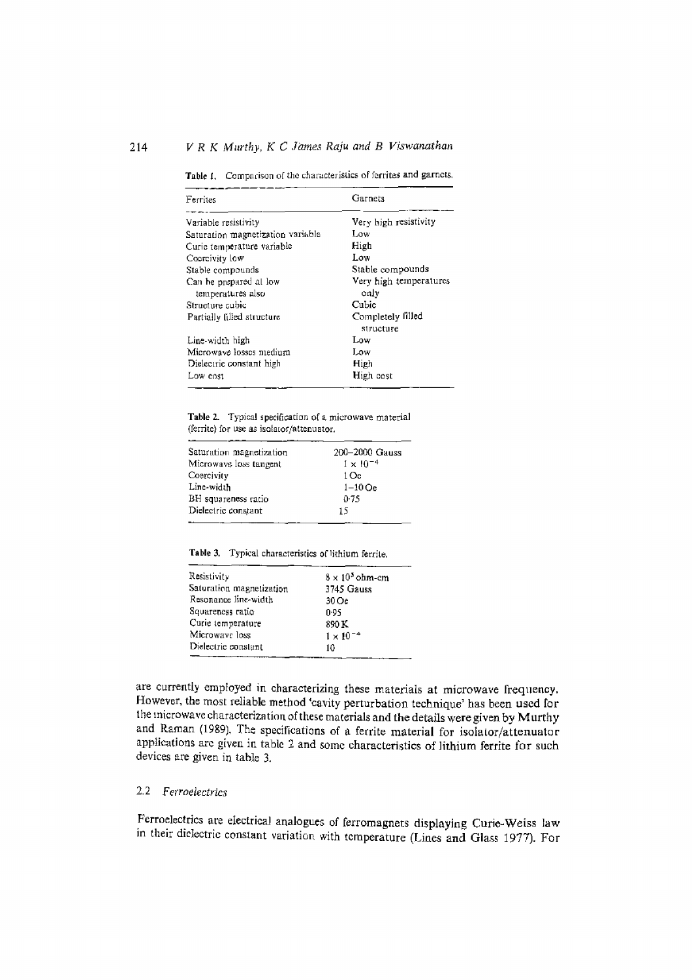## 214 *V R K Murthy, K C James Raju and B Viswanathan*

Table 1. Comparison of the characteristics of ferrites and garnets.

| Ferrites                                    | Garnets                        |  |  |
|---------------------------------------------|--------------------------------|--|--|
| Variable resistivity                        | Very high resistivity          |  |  |
| Saturation magnetization variable           | Low                            |  |  |
| Curie temperature variable                  | High                           |  |  |
| Coorcivity low                              | Low                            |  |  |
| Stable compounds                            | Stable compounds               |  |  |
| Can be prepared at low<br>temperatures also | Very high temperatures<br>only |  |  |
| Structure cubic                             | Cubic                          |  |  |
| Partially filled structure                  | Completely filled<br>structure |  |  |
| Line-width high                             | Low                            |  |  |
| Microwaye losses medium                     | Low                            |  |  |
| Dielectric constant high                    | High                           |  |  |
| Low cost                                    | High cost                      |  |  |

Table 2. Typical specification of a microwave material (ferrite) for use as isolator/attenuator.

| Saturation magnetization | 200-2000 Gauss     |
|--------------------------|--------------------|
| Microwave loss tangent   | $1 \times 10^{-4}$ |
| Coercivity               | 1 Oc.              |
| Line-width               | $1-10$ Oe          |
| BH squareness ratio      | 0.75               |
| Dielectric constant      | 15                 |
|                          |                    |

Table 3. Typical characteristics of lithium ferrite.

| Resistivity              | $8 \times 10^5$ ohm-cm |
|--------------------------|------------------------|
| Saturation magnetization | 3745 Gauss             |
| Resonance line-width     | 30Oe                   |
| Squareness ratio         | 0.95                   |
| Curie temperature        | 890 K                  |
| Microwave loss           | $1 \times 10^{-4}$     |
| Dielectric constant      | 10                     |
|                          |                        |

are currently employed in characterizing these materials at microwave frequency. However, the most retiable method 'cavity perturbation technique' has been used for the microwave characterization of these materials and the details were given by Murthy and Raman (1989), The specifications of a ferrite material for isolator/attenuator applications are given in table 2 and some characteristics of lithium ferrite for such devices are given in table 3.

# 2.2 *Ferroeiectrics*

Ferroelectrics are electrieal analogues of ferromagnets displaying Curie-Weiss law in their dielectric constant variation with temperature (Lines and Glass I977). For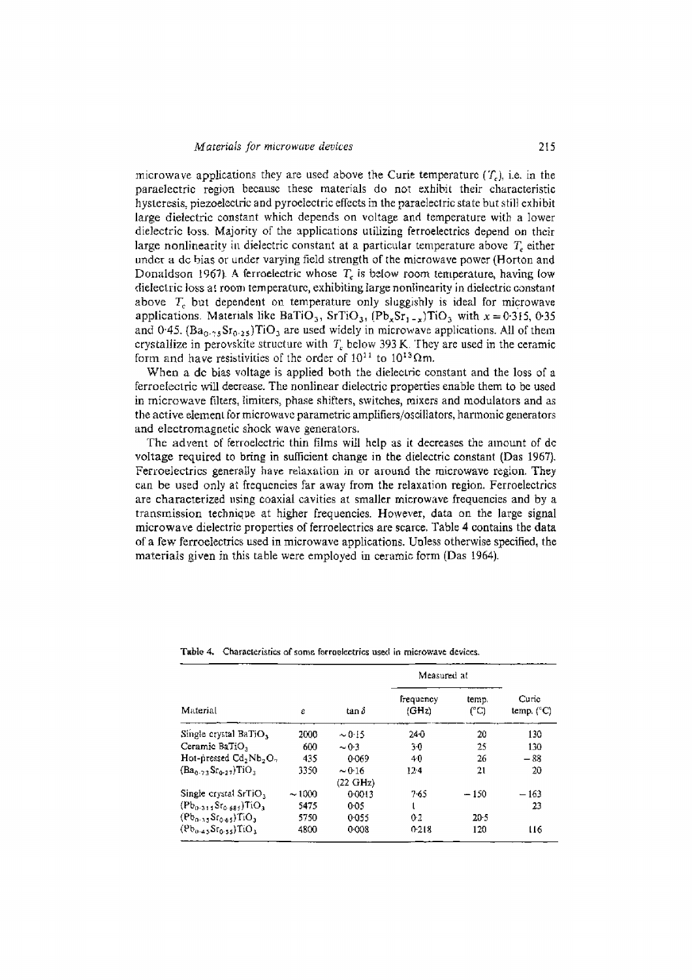microwave applications they are used above the Curie temperature  $(T<sub>c</sub>)$ , i.e. in the paraelectric region because these materials do not exhibit their characteristic hysteresis, piezoelectric and pyroelectric effects in the paraelectric state but still exhibit large dielectric constant which depends on voltage and temperature with a lower dielectric loss. Majority of the applications utilizing ferroelectrics depend on their large nonlinearity in dielectric constant at a particular temperature above  $T_c$  either under a de bias or under varying field strength of the microwave power (Horton and Donaldson 1967). A ferroelectric whose  $T_c$  is below room temperature, having low dielectric loss at room temperature, exhibiting large nonlinearity in dielectric constant above T~, but dependent on temperature *only* sluggishly is ideal for microwave applications. Materials like BaTiO<sub>3</sub>, SrTiO<sub>3</sub>,  $(Pb_xSr_{1-x})TiO_3$  with  $x = 0.315$ , 0.35 and 0.45.  $(Ba<sub>0.75</sub>Sr<sub>0.25</sub>)TiO<sub>3</sub>$  are used widely in microwave applications. All of them crystallize in perovskite structure with  $T<sub>c</sub>$  below 393 K. They are used in the ceramic form and have resistivities of the order of  $10^{11}$  to  $10^{13} \Omega$ m.

When a de bias voltage is applied both the dielectric constant and the loss of a ferroetectric will decrease. The nonlinear dielectric properties enable them to be used in microwave filters, timiters, phase shifters, switches, mixers and modulators and as the active element for microwave parametric amplifiers/oscillators, harmonic generators and electromagnetic shock wave generators.

The advent of ferroelectric thin films will help as it decreases the amount of de voltage required to bring in sufficient change in the dielectric constant (Das 1967). Ferroelectrics generalIy have relaxation in or around the microwave region. They can be used only at frequencies far away from the relaxation region. Ferroelectrics are characterized using coaxial cavities at smaller microwave frequencies and by a transmission technique at higher frequencies. However, data on the large signal microwave dielectric properties of ferroelectrics are scarce. Table 4 contains the data of a few ferroelectrics used in microwave applications. Unless otherwise specified, the materials given in this table were employed in ceramic form (Das 1964).

| Material                                 | ŝ     | tan ô              | Measured at        |              |                              |
|------------------------------------------|-------|--------------------|--------------------|--------------|------------------------------|
|                                          |       |                    | frequency<br>(GHz) | temp.<br>ሮርነ | Curic<br>temp, $(^{\circ}C)$ |
| Single crystal BaTiO,                    | 2000  | $\sim 0.15$        | 240                | 20.          | 130                          |
| Ceramic BaTiO,                           | 600   | $-0.3$             | 30                 | 25           | 130                          |
| Hot-pressed $Cd, Nb, O,$                 | 435   | 0.069              | 40                 | 26           | - 88                         |
| $(Ba_0, \ldots, Sr_0, \ldots, TIO)$      | 3350  | $\sim 0.16$        | $12-4$             | 21           | 20                           |
|                                          |       | $(22 \text{ GHz})$ |                    |              |                              |
| Single crystal SrTiO,                    | ~1000 | 0.0013             | $7-65$             | $-150$       | $-163$                       |
| $(Pb_{0.315}Sr_{0.684})TiO3$             | 5475  | 0.05               | t                  |              | 23                           |
| $(Pb_0, Sf_0, A)$ $T_1O_3$               | 5750  | 0.055              | 0.2                | 20.5         |                              |
| $(8b_{0.4}, St_{0.33})$ TiO <sub>3</sub> | 4800  | 0.008              | 0.218              | 120          | 116                          |

Table 4. Characteristics of some ferroelectrics used in microwave devices.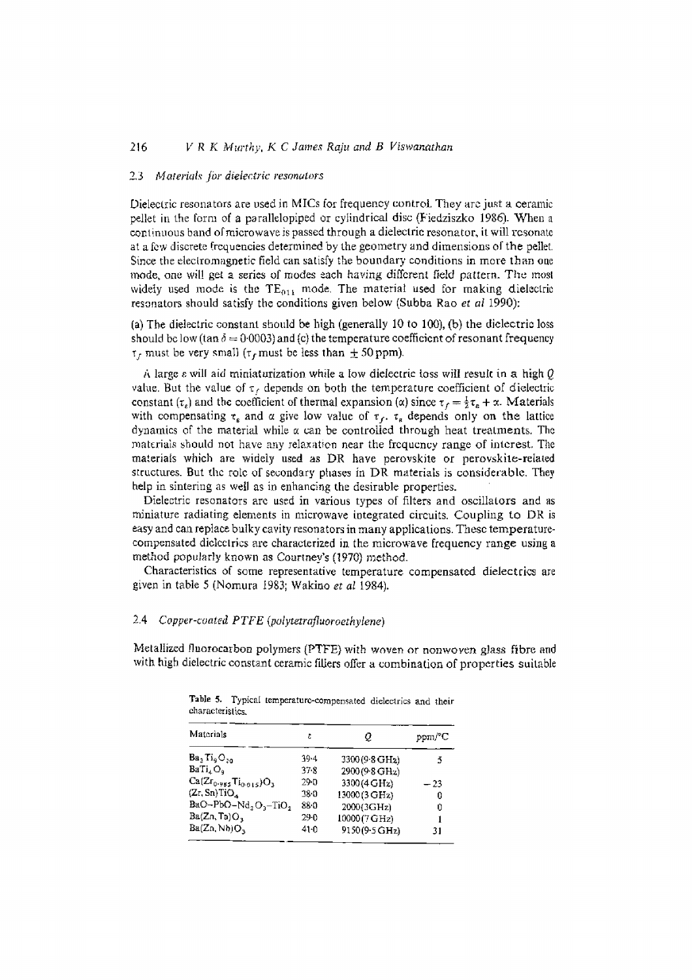## 216 *V R K Murthy, K C James Raju and B Viswanathan*

#### 2,3 *Moterial.~ jbr dielectric resonators*

Dielectric resonators are used in MICs for frequency control. They are just a ceramic pellet in the form of a parallelopiped or cylindrical disc (F'iedziszko 1986). When a continuous band of microwave is passed through a dielectric resonator, it will resonate at a few discrete frequencies determined by the geometry and dimensions of the pellet, Since the electromagnetic field can satisfy the boundary conditions in more than one mode, one will get a series of modes each having different field pattern. The most widely used mode is the  $TE_{011}$  mode. The material used for making dielectric resonators should satisfy the conditions given below (Subba Rao *et al* I990):

(a) Tbe dielectric constant should be high (generally 10 to 100), (b) the dielectric loss should be low (tan  $\delta = 0.0003$ ) and (c) the temperature coefficient of resonant frequency  $\tau_f$  must be very small ( $\tau_f$  must be less than  $\pm$  50 ppm).

A large  $\varepsilon$  will aid miniaturization while a low dielectric toss will result in a high  $Q$ value. But the value of  $\tau_f$  depends on both the temperature coefficient of dielectric constant  $(\tau_s)$  and the coefficient of thermal expansion ( $\alpha$ ) since  $\tau_f = \frac{1}{2}\tau_s + \alpha$ . Materials with compensating  $\tau_{\epsilon}$  and  $\alpha$  give low value of  $\tau_{f}$ .  $\tau_{\epsilon}$  depends only on the lattice dynamics of the material while  $\alpha$  can be controlled through heat treatments. The materials should not have any relaxation near the frequency range of interest. The materials which are widely used as DR have perovskite or perovskite-related structures. But the role of secondary phases in DR materials is considerable. They help in sintering as well as in enhancing the desirable properties.

Dielectric resonators are used in various types of filters and osciilators and as miniature radiating elements in microwave integrated circuits. Coupling to DR is easy and can replace balky cavity resonators in many applications. These temperaturecompensated dielectrics are characterized in the microwave frequency range using a method popularly known as Courtney's (1970) method.

Characteristics of some representative temperature compensated dielectrics are given in table 5 (Nomura i983; Wakino et *al* 1984).

## 2,4 *Copper-coated PTFE (polytetrafluoroethylene)*

Metallized fluorocarbon polymers (PTFE) with woven or nonwoven glass fibre and with high dielectric constant ceramic fillers offer a combination of properties suitable

| Materials                        | ε        | 0.                          |      |
|----------------------------------|----------|-----------------------------|------|
| $Ba_2Ti_9O_{20}$                 | $39 - 4$ | 3300 (9.8 GH <sub>2</sub> ) | 5    |
| BaTi <sub>4</sub> O <sub>a</sub> | 37.8     | 2900 (9-8 GHz)              |      |
| $Ca(Zr_{0.985}Ti_{0.015})O_3$    | 29.0     | 3300(4 GHz)                 | - 23 |
| (Zr, Sn)TiO <sub>A</sub>         | 380      | 13000(3 GH <sub>2</sub> )   | 0    |
| $BaO-PbO-Nd2O3-TiO2$             | 880      | 2000(3GHz)                  | 0    |
| Ba(Zn, Ta)O <sub>3</sub>         | 29-0     | 10000 (7 GHz)               |      |
| Ba(Zn, Nb)O <sub>3</sub>         | $41-0$   | 9150(9.5 GHz)               | 31   |

Table 5. Typical temperature-compensated dielectrics and their characteristics.